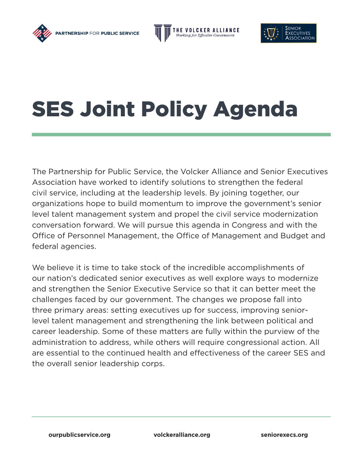





## SES Joint Policy Agenda

The Partnership for Public Service, the Volcker Alliance and Senior Executives Association have worked to identify solutions to strengthen the federal civil service, including at the leadership levels. By joining together, our organizations hope to build momentum to improve the government's senior level talent management system and propel the civil service modernization conversation forward. We will pursue this agenda in Congress and with the Office of Personnel Management, the Office of Management and Budget and federal agencies.

We believe it is time to take stock of the incredible accomplishments of our nation's dedicated senior executives as well explore ways to modernize and strengthen the Senior Executive Service so that it can better meet the challenges faced by our government. The changes we propose fall into three primary areas: setting executives up for success, improving seniorlevel talent management and strengthening the link between political and career leadership. Some of these matters are fully within the purview of the administration to address, while others will require congressional action. All are essential to the continued health and effectiveness of the career SES and the overall senior leadership corps.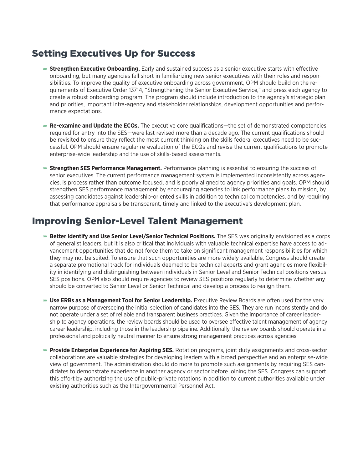## Setting Executives Up for Success

- ɚ **Strengthen Executive Onboarding.** Early and sustained success as a senior executive starts with effective onboarding, but many agencies fall short in familiarizing new senior executives with their roles and responsibilities. To improve the quality of executive onboarding across government, OPM should build on the requirements of Executive Order 13714, "Strengthening the Senior Executive Service," and press each agency to create a robust onboarding program. The program should include introduction to the agency's strategic plan and priorities, important intra-agency and stakeholder relationships, development opportunities and performance expectations.
- **Re-examine and Update the ECQs.** The executive core qualifications—the set of demonstrated competencies required for entry into the SES—were last revised more than a decade ago. The current qualifications should be revisited to ensure they reflect the most current thinking on the skills federal executives need to be successful. OPM should ensure regular re-evaluation of the ECQs and revise the current qualifications to promote enterprise-wide leadership and the use of skills-based assessments.
- **Strengthen SES Performance Management.** Performance planning is essential to ensuring the success of senior executives. The current performance management system is implemented inconsistently across agencies, is process rather than outcome focused, and is poorly aligned to agency priorities and goals. OPM should strengthen SES performance management by encouraging agencies to link performance plans to mission, by assessing candidates against leadership-oriented skills in addition to technical competencies, and by requiring that performance appraisals be transparent, timely and linked to the executive's development plan.

## Improving Senior-Level Talent Management

- **= Better Identify and Use Senior Level/Senior Technical Positions.** The SES was originally envisioned as a corps of generalist leaders, but it is also critical that individuals with valuable technical expertise have access to advancement opportunities that do not force them to take on significant management responsibilities for which they may not be suited. To ensure that such opportunities are more widely available, Congress should create a separate promotional track for individuals deemed to be technical experts and grant agencies more flexibility in identifying and distinguishing between individuals in Senior Level and Senior Technical positions versus SES positions. OPM also should require agencies to review SES positions regularly to determine whether any should be converted to Senior Level or Senior Technical and develop a process to realign them.
- ɚ **Use ERBs as a Management Tool for Senior Leadership.** Executive Review Boards are often used for the very narrow purpose of overseeing the initial selection of candidates into the SES. They are run inconsistently and do not operate under a set of reliable and transparent business practices. Given the importance of career leadership to agency operations, the review boards should be used to oversee effective talent management of agency career leadership, including those in the leadership pipeline. Additionally, the review boards should operate in a professional and politically neutral manner to ensure strong management practices across agencies.
- ɚ **Provide Enterprise Experience for Aspiring SES.** Rotation programs, joint duty assignments and cross-sector collaborations are valuable strategies for developing leaders with a broad perspective and an enterprise-wide view of government. The administration should do more to promote such assignments by requiring SES candidates to demonstrate experience in another agency or sector before joining the SES. Congress can support this effort by authorizing the use of public-private rotations in addition to current authorities available under existing authorities such as the Intergovernmental Personnel Act.